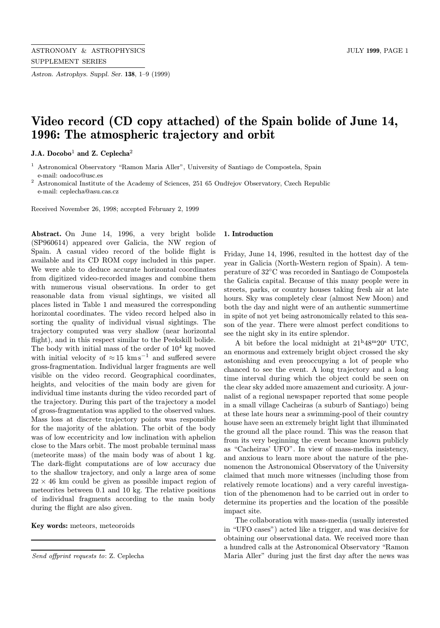Astron. Astrophys. Suppl. Ser. 138, 1–9 (1999)

# Video record (CD copy attached) of the Spain bolide of June 14, 1996: The atmospheric trajectory and orbit

J.A. Docobo<sup>1</sup> and Z. Ceplecha<sup>2</sup>

<sup>1</sup> Astronomical Observatory "Ramon Maria Aller", University of Santiago de Compostela, Spain e-mail: oadoco@usc.es

 $^{\rm 2}$  Astronomical Institute of the Academy of Sciences, 251 65 Ondřejov Observatory, Czech Republic e-mail: ceplecha@asu.cas.cz

Received November 26, 1998; accepted February 2, 1999

Abstract. On June 14, 1996, a very bright bolide (SP960614) appeared over Galicia, the NW region of Spain. A casual video record of the bolide flight is available and its CD ROM copy included in this paper. We were able to deduce accurate horizontal coordinates from digitized video-recorded images and combine them with numerous visual observations. In order to get reasonable data from visual sightings, we visited all places listed in Table 1 and measured the corresponding horizontal coordinates. The video record helped also in sorting the quality of individual visual sightings. The trajectory computed was very shallow (near horizontal flight), and in this respect similar to the Peekskill bolide. The body with initial mass of the order of  $10^4$  kg moved with initial velocity of  $\approx 15$  km s<sup>-1</sup> and suffered severe gross-fragmentation. Individual larger fragments are well visible on the video record. Geographical coordinates, heights, and velocities of the main body are given for individual time instants during the video recorded part of the trajectory. During this part of the trajectory a model of gross-fragmentation was applied to the observed values. Mass loss at discrete trajectory points was responsible for the majority of the ablation. The orbit of the body was of low eccentricity and low inclination with aphelion close to the Mars orbit. The most probable terminal mass (meteorite mass) of the main body was of about 1 kg. The dark-flight computations are of low accuracy due to the shallow trajectory, and only a large area of some  $22 \times 46$  km could be given as possible impact region of meteorites between 0.1 and 10 kg. The relative positions of individual fragments according to the main body during the flight are also given.

Key words: meteors, meteoroids

#### 1. Introduction

Friday, June 14, 1996, resulted in the hottest day of the year in Galicia (North-Western region of Spain). A temperature of 32◦C was recorded in Santiago de Compostela the Galicia capital. Because of this many people were in streets, parks, or country houses taking fresh air at late hours. Sky was completely clear (almost New Moon) and both the day and night were of an authentic summertime in spite of not yet being astronomically related to this season of the year. There were almost perfect conditions to see the night sky in its entire splendor.

A bit before the local midnight at  $21^{\mathrm{h}}48^{\mathrm{m}}20^{\mathrm{s}}$  UTC, an enormous and extremely bright object crossed the sky astonishing and even preoccupying a lot of people who chanced to see the event. A long trajectory and a long time interval during which the object could be seen on the clear sky added more amazement and curiosity. A journalist of a regional newspaper reported that some people in a small village Cacheiras (a suburb of Santiago) being at these late hours near a swimming-pool of their country house have seen an extremely bright light that illuminated the ground all the place round. This was the reason that from its very beginning the event became known publicly as "Cacheiras' UFO". In view of mass-media insistency, and anxious to learn more about the nature of the phenomenon the Astronomical Observatory of the University claimed that much more witnesses (including those from relatively remote locations) and a very careful investigation of the phenomenon had to be carried out in order to determine its properties and the location of the possible impact site.

The collaboration with mass-media (usually interested in "UFO cases") acted like a trigger, and was decisive for obtaining our observational data. We received more than a hundred calls at the Astronomical Observatory "Ramon Maria Aller" during just the first day after the news was

Send offprint requests to: Z. Ceplecha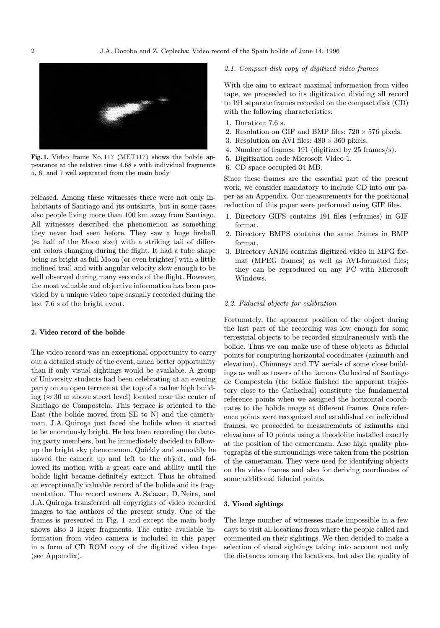

Fig. 1. Video frame No. 117 (MET117) shows the bolide appearance at the relative time 4.68 s with individual fragments 5, 6, and 7 well separated from the main body

released. Among these witnesses there were not only inhabitants of Santiago and its outskirts, but in some cases also people living more than 100 km away from Santiago. All witnesses described the phenomenon as something they never had seen before. They saw a huge fireball  $(\approx$  half of the Moon size) with a striking tail of different colors changing during the flight. It had a tube shape being as bright as full Moon (or even brighter) with a little inclined trail and with angular velocity slow enough to be well observed during many seconds of the flight. However, the most valuable and objective information has been provided by a unique video tape casually recorded during the last 7.6 s of the bright event.

### 2. Video record of the bolide

The video record was an exceptional opportunity to carry out a detailed study of the event, much better opportunity than if only visual sightings would be available. A group of University students had been celebrating at an evening party on an open terrace at the top of a rather high building ( $\approx 30$  m above street level) located near the center of Santiago de Compostela. This terrace is oriented to the East (the bolide moved from SE to N) and the cameraman, J.A. Quiroga just faced the bolide when it started to be enormously bright. He has been recording the dancing party members, but he immediately decided to followup the bright sky phenomenon. Quickly and smoothly he moved the camera up and left to the object, and followed its motion with a great care and ability until the bolide light became definitely extinct. Thus he obtained an exceptionally valuable record of the bolide and its fragmentation. The record owners A. Salazar, D. Neira, and J.A. Quiroga transferred all copyrights of video recorded images to the authors of the present study. One of the frames is presented in Fig. 1 and except the main body shows also 3 larger fragments. The entire available information from video camera is included in this paper in a form of CD ROM copy of the digitized video tape (see Appendix).

### 2.1. Compact disk copy of digitized video frames

With the aim to extract maximal information from video tape, we proceeded to its digitization dividing all record to 191 separate frames recorded on the compact disk (CD) with the following characteristics:

- 1. Duration: 7.6 s.
- 2. Resolution on GIF and BMP files:  $720 \times 576$  pixels.
- 3. Resolution on AVI files:  $480 \times 360$  pixels.
- 4. Number of frames: 191 (digitized by 25 frames/s).
- 5. Digitization code Microsoft Video 1.
- 6. CD space occupied 34 MB.

Since these frames are the essential part of the present work, we consider mandatory to include CD into our paper as an Appendix. Our measurements for the positional reduction of this paper were performed using GIF files.

- 1. Directory GIFS contains 191 files ( $\equiv$ frames) in GIF format.
- 2. Directory BMPS contains the same frames in BMP format.
- 3. Directory ANIM contains digitized video in MPG format (MPEG frames) as well as AVI-formated files; they can be reproduced on any PC with Microsoft Windows.

## 2.2. Fiducial objects for calibration

Fortunately, the apparent position of the object during the last part of the recording was low enough for some terrestrial objects to be recorded simultaneously with the bolide. Thus we can make use of these objects as fiducial points for computing horizontal coordinates (azimuth and elevation). Chimneys and TV aerials of some close buildings as well as towers of the famous Cathedral of Santiago de Compostela (the bolide finished the apparent trajectory close to the Cathedral) constitute the fundamental reference points when we assigned the horizontal coordinates to the bolide image at different frames. Once reference points were recognized and established on individual frames, we proceeded to measurements of azimuths and elevations of 10 points using a theodolite installed exactly at the position of the cameraman. Also high quality photographs of the surroundings were taken from the position of the cameraman. They were used for identifying objects on the video frames and also for deriving coordinates of some additional fiducial points.

#### 3. Visual sightings

The large number of witnesses made impossible in a few days to visit all locations from where the people called and commented on their sightings. We then decided to make a selection of visual sightings taking into account not only the distances among the locations, but also the quality of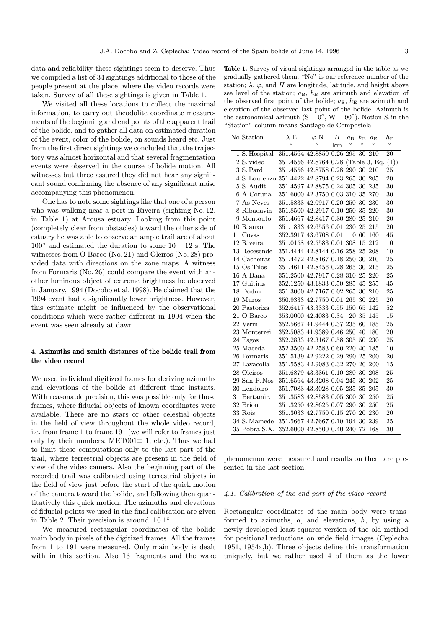data and reliability these sightings seem to deserve. Thus we compiled a list of 34 sightings additional to those of the people present at the place, where the video records were taken. Survey of all these sightings is given in Table 1.

We visited all these locations to collect the maximal information, to carry out theodolite coordinate measurements of the beginning and end points of the apparent trail of the bolide, and to gather all data on estimated duration of the event, color of the bolide, on sounds heard etc. Just from the first direct sightings we concluded that the trajectory was almost horizontal and that several fragmentation events were observed in the course of bolide motion. All witnesses but three assured they did not hear any significant sound confirming the absence of any significant noise accompanying this phenomenon.

One has to note some sightings like that one of a person who was walking near a port in Riveira (sighting No. 12, in Table 1) at Arousa estuary. Looking from this point (completely clear from obstacles) toward the other side of estuary he was able to observe an ample trail arc of about  $100°$  and estimated the duration to some  $10-12$  s. The witnesses from O Barco (No. 21) and Oleiros (No. 28) provided data with directions on the zone maps. A witness from Formaris (No. 26) could compare the event with another luminous object of extreme brightness he observed in January, 1994 (Docobo et al. 1998). He claimed that the 1994 event had a significantly lower brightness. However, this estimate might be influenced by the observational conditions which were rather different in 1994 when the event was seen already at dawn.

# 4. Azimuths and zenith distances of the bolide trail from the video record

We used individual digitized frames for deriving azimuths and elevations of the bolide at different time instants. With reasonable precision, this was possible only for those frames, where fiducial objects of known coordinates were available. There are no stars or other celestial objects in the field of view throughout the whole video record, i.e. from frame 1 to frame 191 (we will refer to frames just only by their numbers: MET001 $\equiv$  1, etc.). Thus we had to limit these computations only to the last part of the trail, where terrestrial objects are present in the field of view of the video camera. Also the beginning part of the recorded trail was calibrated using terrestrial objects in the field of view just before the start of the quick motion of the camera toward the bolide, and following then quantitatively this quick motion. The azimuths and elevations of fiducial points we used in the final calibration are given in Table 2. Their precision is around  $\pm 0.1^\circ$ .

We measured rectangular coordinates of the bolide main body in pixels of the digitized frames. All the frames from 1 to 191 were measured. Only main body is dealt with in this section. Also 13 fragments and the wake

Table 1. Survey of visual sightings arranged in the table as we gradually gathered them. "No" is our reference number of the station;  $\lambda$ ,  $\varphi$ , and H are longitude, latitude, and height above sea level of the station;  $a_B$ ,  $h_B$  are azimuth and elevation of the observed first point of the bolide;  $a_{\rm E}$ ,  $h_{\rm E}$  are azimuth and elevation of the observed last point of the bolide. Azimuth is the astronomical azimuth  $(S = 0^{\circ}, W = 90^{\circ})$ . Notion S. in the "Station" column means Santiago de Compostela

| No Station                                     | $\lambda$ E                         | $\varphi \, \overline{\text{N}}$ | $H_{\rm}$ | $a_{\rm B}$ | $h_{\rm B}$ | $a_{\rm E}$ | $h_{\rm E}$ |
|------------------------------------------------|-------------------------------------|----------------------------------|-----------|-------------|-------------|-------------|-------------|
|                                                | $\circ$                             | $\circ$                          | km        | $\circ$     | O           | $\circ$     | $\circ$     |
| 1 S. Hospital                                  | 351.4564 42.8850 0.26 295 30 210    |                                  |           |             |             |             | 20          |
| 2 S. video                                     | 351.4556 42.8764 0.28 (Table 3, Eq. |                                  |           |             |             |             | (1))        |
| 3 S. Pard.                                     | 351.4556 42.8758 0.28 290 30 210    |                                  |           |             |             |             | 25          |
| 4 S. Lourenzo 351.4422 42.8794 0.23 265 30 205 |                                     |                                  |           |             |             |             | 20          |
| 5 S. Audit.                                    | 351.4597 42.8875 0.24 305 30 235    |                                  |           |             |             |             | 30          |
| 6 A Coruna                                     | 351.6000 42.3750 0.03 310 35 270    |                                  |           |             |             |             | 30          |
| 7 As Neves                                     | 351.5833 42.0917 0.20 250 30 230    |                                  |           |             |             |             | 30          |
| $8$ Ribadavia                                  | 351.8500 42.2917 0.10 250 35 220    |                                  |           |             |             |             | 30          |
| 9 Montouto                                     | 351.4667 42.8417 0.30 280 25 210    |                                  |           |             |             |             | 20          |
| 10 Rianxo                                      | 351.1833 42.6556 0.01 230 25 215    |                                  |           |             |             |             | 20          |
| 11 Covas                                       | 352.3917 43.6708 0.01               |                                  |           |             | 060         | 160         | 45          |
| 12 Riveira                                     | 351.0158 42.5583 0.01 308           |                                  |           |             |             | 15 212      | 10          |
| 13 Recesende                                   | 351.4444 42.8144 0.16 258 25 208    |                                  |           |             |             |             | 10          |
| 14 Cacheiras                                   | 351.4472 42.8167 0.18 250 30 210    |                                  |           |             |             |             | 25          |
| 15 Os Tilos                                    | 351.4611 42.8456 0.28 265 30 215    |                                  |           |             |             |             | 25          |
| 16 A Bana                                      | 351.2500 42.7917 0.28 310 25 220    |                                  |           |             |             |             | 25          |
| 17 Guitiriz                                    | 352.1250 43.1833 0.50 285 45 255    |                                  |           |             |             |             | 45          |
| 18 Dodro                                       | 351.3000 42.7167 0.02 265 30 210    |                                  |           |             |             |             | 25          |
| 19 Muros                                       | 350.9333 42.7750 0.01 265 30 225    |                                  |           |             |             |             | 20          |
| 20 Pastoriza                                   | 352.6417 43.3333 0.55 150 65        |                                  |           |             |             | 142         | 52          |
| 21 O Barco                                     | 353.0000 42.4083 0.34               |                                  |           |             | 20 35       | 145         | 15          |
| 22 Verin                                       | 352.5667 41.9444 0.37 235 60        |                                  |           |             |             | 185         | 25          |
| 23 Monterrei                                   | 352.5083 41.9389 0.46 250 40        |                                  |           |             |             | 180         | 20          |
| 24 Esgos                                       | 352.2833 42.3167 0.58 305           |                                  |           |             | 50          | 230         | 25          |
| 25 Maceda                                      | 352.3500 42.2583 0.60 220 40        |                                  |           |             |             | 185         | 10          |
| 26 Formaris                                    | 351.5139 42.9222 0.29 290 25        |                                  |           |             |             | 200         | 20          |
| 27 Lavacolla                                   | 351.5583 42.9083 0.32 270 20 200    |                                  |           |             |             |             | 15          |
| 28 Oleiros                                     | 351.6879 43.3361 0.10 280 30 208    |                                  |           |             |             |             | 25          |
| 29 San P. Nos                                  | 351.6564 43.3208 0.04 245 30 202    |                                  |           |             |             |             | 25          |
| 30 Lendoiro                                    | 351.7083 43.3028 0.05 235 35        |                                  |           |             |             | 205         | 30          |
| 31 Bertamir.                                   | 351.3583 42.8583 0.05 300           |                                  |           |             |             | 30 250      | 25          |
| 32 Brion                                       | 351.3250 42.8625 0.07 290 30 250    |                                  |           |             |             |             | 25          |
| 33 Rois                                        | 351.3033 42.7750 0.15 270 20 230    |                                  |           |             |             |             | 20          |
| 34 S. Mamede                                   | 351.5667 42.7667 0.10 194 30 239    |                                  |           |             |             |             | 25          |
| 35 Pobra S.X.                                  | 352.6000 42.8500 0.40 240 72        |                                  |           |             |             | 168         | 30          |

phenomenon were measured and results on them are presented in the last section.

#### 4.1. Calibration of the end part of the video-record

Rectangular coordinates of the main body were transformed to azimuths,  $a$ , and elevations,  $h$ , by using a newly developed least squares version of the old method for positional reductions on wide field images (Ceplecha 1951, 1954a,b). Three objects define this transformation uniquely, but we rather used 4 of them as the lower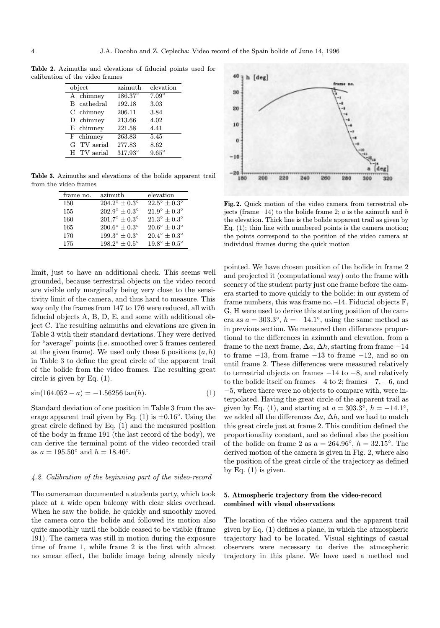Table 2. Azimuths and elevations of fiducial points used for calibration of the video frames

| object                 | $a$ zimuth | elevation      |
|------------------------|------------|----------------|
| A chimney              | 186.37°    | $7.09^\circ$   |
| cathedral<br>B.        | 192.18     | 3.03           |
| $C$ chimney            | 206.11     | 3.84           |
| D chimney              | 213.66     | 4.02           |
| E chimney              | 221.58     | 4.41           |
| $\overline{F}$ chimney | 263.83     | 5.45           |
| G TV aerial            | 277.83     | 8.62           |
| H TV aerial            | 317.93°    | $9.65^{\circ}$ |

Table 3. Azimuths and elevations of the bolide apparent trail from the video frames

| frame no. | azimuth                       | elevation                    |
|-----------|-------------------------------|------------------------------|
| 150       | $204.2^{\circ} + 0.3^{\circ}$ | $22.5^{\circ} + 0.3^{\circ}$ |
| 155       | $202.9^{\circ} + 0.3^{\circ}$ | $21.9^{\circ} + 0.3^{\circ}$ |
| 160       | $201.7^{\circ} + 0.3^{\circ}$ | $21.3^{\circ} + 0.3^{\circ}$ |
| 165       | $200.6^{\circ} + 0.3^{\circ}$ | $20.6^{\circ} + 0.3^{\circ}$ |
| 170       | $199.3^{\circ} + 0.3^{\circ}$ | $20.4^{\circ} + 0.3^{\circ}$ |
| 175       | $198.2^{\circ} + 0.5^{\circ}$ | $19.8^{\circ} + 0.5^{\circ}$ |

limit, just to have an additional check. This seems well grounded, because terrestrial objects on the video record are visible only marginally being very close to the sensitivity limit of the camera, and thus hard to measure. This way only the frames from 147 to 176 were reduced, all with fiducial objects A, B, D, E, and some with additional object C. The resulting azimuths and elevations are given in Table 3 with their standard deviations. They were derived for "average" points (i.e. smoothed over 5 frames centered at the given frame). We used only these 6 positions  $(a, h)$ in Table 3 to define the great circle of the apparent trail of the bolide from the video frames. The resulting great circle is given by Eq. (1).

$$
\sin(164.052 - a) = -1.56256 \tan(h). \tag{1}
$$

Standard deviation of one position in Table 3 from the average apparent trail given by Eq. (1) is  $\pm 0.16°$ . Using the great circle defined by Eq. (1) and the measured position of the body in frame 191 (the last record of the body), we can derive the terminal point of the video recorded trail as  $a = 195.50^{\circ}$  and  $h = 18.46^{\circ}$ .

#### 4.2. Calibration of the beginning part of the video-record

The cameraman documented a students party, which took place at a wide open balcony with clear skies overhead. When he saw the bolide, he quickly and smoothly moved the camera onto the bolide and followed its motion also quite smoothly until the bolide ceased to be visible (frame 191). The camera was still in motion during the exposure time of frame 1, while frame 2 is the first with almost no smear effect, the bolide image being already nicely



Fig. 2. Quick motion of the video camera from terrestrial objects (frame –14) to the bolide frame 2;  $a$  is the azimuth and  $h$ the elevation. Thick line is the bolide apparent trail as given by Eq. (1); thin line with numbered points is the camera motion; the points correspond to the position of the video camera at individual frames during the quick motion

pointed. We have chosen position of the bolide in frame 2 and projected it (computational way) onto the frame with scenery of the student party just one frame before the camera started to move quickly to the bolide: in our system of frame numbers, this was frame no. –14. Fiducial objects F, G, H were used to derive this starting position of the camera as  $a = 303.3°$ ,  $h = -14.1°$ , using the same method as in previous section. We measured then differences proportional to the differences in azimuth and elevation, from a frame to the next frame,  $\Delta a$ ,  $\Delta h$ , starting from frame  $-14$ to frame  $-13$ , from frame  $-13$  to frame  $-12$ , and so on until frame 2. These differences were measured relatively to terrestrial objects on frames  $-14$  to  $-8$ , and relatively to the bolide itself on frames  $-4$  to 2; frames  $-7, -6$ , and −5, where there were no objects to compare with, were interpolated. Having the great circle of the apparent trail as given by Eq. (1), and starting at  $a = 303.3°$ ,  $h = -14.1°$ , we added all the differences  $\Delta a$ ,  $\Delta h$ , and we had to match this great circle just at frame 2. This condition defined the proportionality constant, and so defined also the position of the bolide on frame 2 as  $a = 264.96°$ ,  $h = 32.15°$ . The derived motion of the camera is given in Fig. 2, where also the position of the great circle of the trajectory as defined by Eq.  $(1)$  is given.

# 5. Atmospheric trajectory from the video-record combined with visual observations

The location of the video camera and the apparent trail given by Eq. (1) defines a plane, in which the atmospheric trajectory had to be located. Visual sightings of casual observers were necessary to derive the atmospheric trajectory in this plane. We have used a method and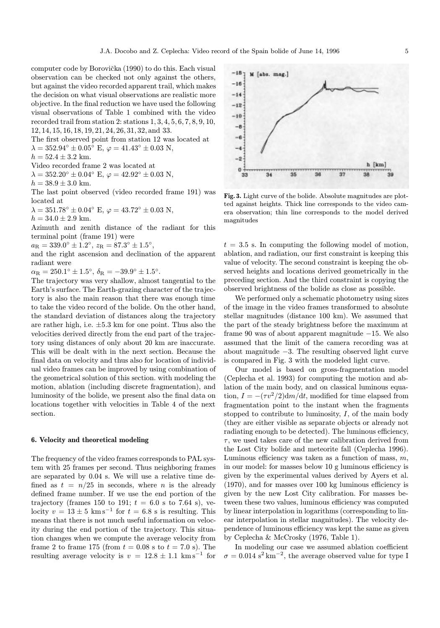computer code by Borovička (1990) to do this. Each visual observation can be checked not only against the others, but against the video recorded apparent trail, which makes the decision on what visual observations are realistic more objective. In the final reduction we have used the following visual observations of Table 1 combined with the video recorded trail from station 2: stations 1, 3, 4, 5, 6, 7, 8, 9, 10, 12, 14, 15, 16, 18, 19, 21, 24, 26, 31, 32, and 33.

The first observed point from station 12 was located at

 $\lambda = 352.94^{\circ} \pm 0.05^{\circ}$  E,  $\varphi = 41.43^{\circ} \pm 0.03$  N,

 $h = 52.4 \pm 3.2$  km.

Video recorded frame 2 was located at

 $\lambda = 352.20^{\circ} \pm 0.04^{\circ}$  E,  $\varphi = 42.92^{\circ} \pm 0.03$  N,

 $h = 38.9 \pm 3.0$  km.

The last point observed (video recorded frame 191) was located at

 $\lambda = 351.78$ °  $\pm 0.04$ ° E,  $\varphi = 43.72$ °  $\pm 0.03$  N,

 $h = 34.0 \pm 2.9$  km.

Azimuth and zenith distance of the radiant for this terminal point (frame 191) were

 $a_R = 339.0° \pm 1.2°$ ,  $z_R = 87.3° \pm 1.5°$ ,

and the right ascension and declination of the apparent radiant were

 $\alpha_R = 250.1^\circ \pm 1.5^\circ, \ \delta_R = -39.9^\circ \pm 1.5^\circ.$ 

The trajectory was very shallow, almost tangential to the Earth's surface. The Earth-grazing character of the trajectory is also the main reason that there was enough time to take the video record of the bolide. On the other hand, the standard deviation of distances along the trajectory are rather high, i.e.  $\pm 5.3$  km for one point. Thus also the velocities derived directly from the end part of the trajectory using distances of only about 20 km are inaccurate. This will be dealt with in the next section. Because the final data on velocity and thus also for location of individual video frames can be improved by using combination of the geometrical solution of this section. with modeling the motion, ablation (including discrete fragmentation), and luminosity of the bolide, we present also the final data on locations together with velocities in Table 4 of the next section.

#### 6. Velocity and theoretical modeling

The frequency of the video frames corresponds to PAL system with 25 frames per second. Thus neighboring frames are separated by 0.04 s. We will use a relative time defined as  $t = n/25$  in seconds, where *n* is the already defined frame number. If we use the end portion of the trajectory (frames 150 to 191;  $t = 6.0$  s to 7.64 s), velocity  $v = 13 \pm 5$  km s<sup>-1</sup> for  $t = 6.8$  s is resulting. This means that there is not much useful information on velocity during the end portion of the trajectory. This situation changes when we compute the average velocity from frame 2 to frame 175 (from  $t = 0.08$  s to  $t = 7.0$  s). The resulting average velocity is  $v = 12.8 \pm 1.1$  km s<sup>-1</sup> for



Fig. 3. Light curve of the bolide. Absolute magnitudes are plotted against heights. Thick line corresponds to the video camera observation; thin line corresponds to the model derived magnitudes

 $t = 3.5$  s. In computing the following model of motion, ablation, and radiation, our first constraint is keeping this value of velocity. The second constraint is keeping the observed heights and locations derived geometrically in the preceding section. And the third constraint is copying the observed brightness of the bolide as close as possible.

We performed only a schematic photometry using sizes of the image in the video frames transformed to absolute stellar magnitudes (distance 100 km). We assumed that the part of the steady brightness before the maximum at frame 90 was of about apparent magnitude −15. We also assumed that the limit of the camera recording was at about magnitude −3. The resulting observed light curve is compared in Fig. 3 with the modeled light curve.

Our model is based on gross-fragmentation model (Ceplecha et al. 1993) for computing the motion and ablation of the main body, and on classical luminous equation,  $I = -(\tau v^2/2)$ dm/dt, modified for time elapsed from fragmentation point to the instant when the fragments stopped to contribute to luminosity,  $I$ , of the main body (they are either visible as separate objects or already not radiating enough to be detected). The luminous efficiency,  $\tau$ , we used takes care of the new calibration derived from the Lost City bolide and meteorite fall (Ceplecha 1996). Luminous efficiency was taken as a function of mass,  $m$ , in our model: for masses below 10 g luminous efficiency is given by the experimental values derived by Ayers et al. (1970), and for masses over 100 kg luminous efficiency is given by the new Lost City calibration. For masses between these two values, luminous efficiency was computed by linear interpolation in logarithms (corresponding to linear interpolation in stellar magnitudes). The velocity dependence of luminous efficiency was kept the same as given by Ceplecha & McCrosky (1976, Table 1).

In modeling our case we assumed ablation coefficient  $\sigma = 0.014$  s<sup>2</sup> km<sup>-2</sup>, the average observed value for type I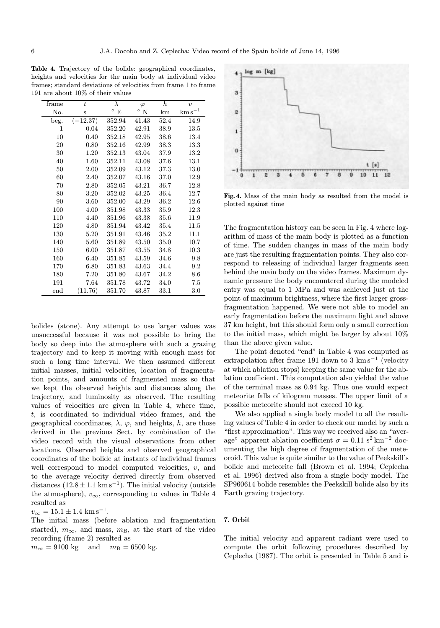Table 4. Trajectory of the bolide: geographical coordinates, heights and velocities for the main body at individual video frames; standard deviations of velocities from frame 1 to frame 191 are about 10% of their values

| frame             | $\bar{t}$ | λ            | $\varphi$    | $\boldsymbol{h}$ | $\boldsymbol{v}$      |
|-------------------|-----------|--------------|--------------|------------------|-----------------------|
| No.               | S         | $\circ$<br>E | $^{\circ}$ N | km               | $\mathrm{km\,s}^{-1}$ |
| beg.              | $-12.37)$ | 352.94       | 41.43        | 52.4             | 14.9                  |
| 1                 | 0.04      | 352.20       | 42.91        | 38.9             | 13.5                  |
| 10                | 0.40      | 352.18       | 42.95        | 38.6             | 13.4                  |
| 20                | 0.80      | 352.16       | 42.99        | 38.3             | 13.3                  |
| 30                | 1.20      | 352.13       | 43.04        | 37.9             | 13.2                  |
| 40                | 1.60      | 352.11       | 43.08        | 37.6             | 13.1                  |
| 50                | 2.00      | 352.09       | 43.12        | 37.3             | 13.0                  |
| 60                | 2.40      | 352.07       | 43.16        | 37.0             | 12.9                  |
| 70                | 2.80      | 352.05       | 43.21        | 36.7             | 12.8                  |
| 80                | 3.20      | 352.02       | 43.25        | 36.4             | 12.7                  |
| 90                | 3.60      | 352.00       | 43.29        | 36.2             | 12.6                  |
| 100               | 4.00      | 351.98       | 43.33        | 35.9             | 12.3                  |
| 110               | 4.40      | 351.96       | 43.38        | 35.6             | 11.9                  |
| 120               | 4.80      | 351.94       | 43.42        | 35.4             | 11.5                  |
| 130               | 5.20      | 351.91       | 43.46        | 35.2             | 11.1                  |
| 140               | 5.60      | 351.89       | 43.50        | 35.0             | 10.7                  |
| 150               | 6.00      | 351.87       | 43.55        | 34.8             | 10.3                  |
| 160               | 6.40      | 351.85       | 43.59        | 34.6             | 9.8                   |
| 170               | 6.80      | 351.83       | 43.63        | 34.4             | 9.2                   |
| 180               | 7.20      | 351.80       | 43.67        | 34.2             | 8.6                   |
| 191               | 7.64      | 351.78       | 43.72        | 34.0             | 7.5                   |
| $_{\mathrm{end}}$ | (11.76)   | 351.70       | 43.87        | 33.1             | 3.0                   |

bolides (stone). Any attempt to use larger values was unsuccessful because it was not possible to bring the body so deep into the atmosphere with such a grazing trajectory and to keep it moving with enough mass for such a long time interval. We then assumed different initial masses, initial velocities, location of fragmentation points, and amounts of fragmented mass so that we kept the observed heights and distances along the trajectory, and luminosity as observed. The resulting values of velocities are given in Table 4, where time, t, is coordinated to individual video frames, and the geographical coordinates,  $\lambda$ ,  $\varphi$ , and heights, h, are those derived in the previous Sect. by combination of the video record with the visual observations from other locations. Observed heights and observed geographical coordinates of the bolide at instants of individual frames well correspond to model computed velocities, v, and to the average velocity derived directly from observed distances  $(12.8 \pm 1.1 \text{ km s}^{-1})$ . The initial velocity (outside the atmosphere),  $v_{\infty}$ , corresponding to values in Table 4 resulted as

 $v_{\infty} = 15.1 \pm 1.4 \text{ km s}^{-1}.$ 

The initial mass (before ablation and fragmentation started),  $m_{\infty}$ , and mass,  $m_{\rm B}$ , at the start of the video recording (frame 2) resulted as

 $m_{\infty} = 9100$  kg and  $m_B = 6500$  kg.

log m [kg]  $\overline{\mathbf{3}}$  $\overline{2}$  $\mathbf{0}$  $t$  [s]  $11$  $10$ 

Fig. 4. Mass of the main body as resulted from the model is plotted against time

The fragmentation history can be seen in Fig. 4 where logarithm of mass of the main body is plotted as a function of time. The sudden changes in mass of the main body are just the resulting fragmentation points. They also correspond to releasing of individual larger fragments seen behind the main body on the video frames. Maximum dynamic pressure the body encountered during the modeled entry was equal to 1 MPa and was achieved just at the point of maximum brightness, where the first larger grossfragmentation happened. We were not able to model an early fragmentation before the maximum light and above 37 km height, but this should form only a small correction to the initial mass, which might be larger by about 10% than the above given value.

The point denoted "end" in Table 4 was computed as extrapolation after frame 191 down to 3 km s<sup> $-1$ </sup> (velocity at which ablation stops) keeping the same value for the ablation coefficient. This computation also yielded the value of the terminal mass as 0.94 kg. Thus one would expect meteorite falls of kilogram masses. The upper limit of a possible meteorite should not exceed 10 kg.

We also applied a single body model to all the resulting values of Table 4 in order to check our model by such a "first approximation". This way we received also an "average" apparent ablation coefficient  $\sigma = 0.11 \text{ s}^2 \text{ km}^{-2}$  documenting the high degree of fragmentation of the meteoroid. This value is quite similar to the value of Peekskill's bolide and meteorite fall (Brown et al. 1994; Ceplecha et al. 1996) derived also from a single body model. The SP960614 bolide resembles the Peekskill bolide also by its Earth grazing trajectory.

# 7. Orbit

The initial velocity and apparent radiant were used to compute the orbit following procedures described by Ceplecha (1987). The orbit is presented in Table 5 and is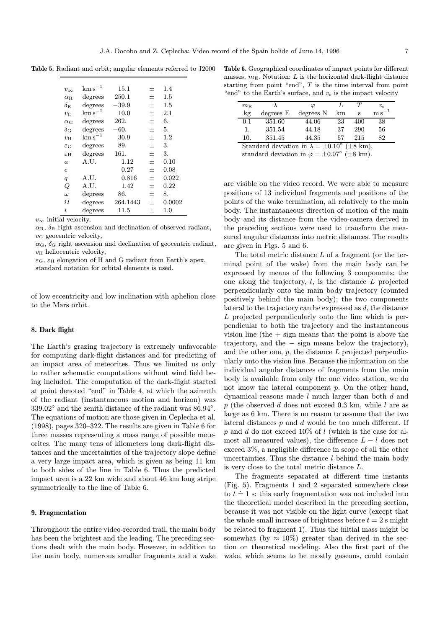Table 5. Radiant and orbit; angular elements referred to J2000

| $v_{\infty}$          | $\mathrm{km\,s}^{-1}$   | 15.1     | $^+$           | 1.4     |
|-----------------------|-------------------------|----------|----------------|---------|
| $\alpha$ R.           | degrees                 | 250.1    | $\overline{+}$ | $1.5\,$ |
| $\delta_{\rm B}$      | degrees                 | $-39.9$  | $\overline{+}$ | 1.5     |
| $v_{\rm G}$           | $\mathrm{km \, s}^{-1}$ | 10.0     | $^{+}$         | 2.1     |
| $\alpha$ <sub>G</sub> | degrees                 | 262.     | $\overline{+}$ | 6.      |
| $\delta_{\rm G}$      | degrees                 | -60.     | $\overline{+}$ | 5.      |
| $v_{\rm H}$           | $\mathrm{km\,s}^{-1}$   | 30.9     | $\overline{+}$ | 1.2     |
| $\varepsilon_{\rm G}$ | degrees                 | 89.      | $^{+}$         | 3.      |
| $\varepsilon$ н       | degrees                 | 161.     | $^{+}$         | 3.      |
| $\boldsymbol{a}$      | A.U.                    | 1.12     | $^{+}$         | 0.10    |
| e                     |                         | 0.27     | $^{+}$         | 0.08    |
| q                     | A.U.                    | 0.816    | $^{+}$         | 0.022   |
| Q                     | A.U.                    | 1.42     | $^{+}$         | 0.22    |
| $\omega$              | degrees                 | 86.      | $^{+}$         | 8.      |
| Ω                     | degrees                 | 264.1443 | $^{+}$         | 0.0002  |
| i                     | degree                  | 11.5     | $\overline{+}$ | 1.0     |

 $v_{\infty}$  initial velocity,

 $\alpha_{\rm R}$ ,  $\delta_{\rm R}$  right ascension and declination of observed radiant,  $v_{\rm G}$  geocentric velocity,

 $\alpha_{\rm G}$ ,  $\delta_{\rm G}$  right ascension and declination of geocentric radiant,  $v_{\rm H}$  heliocentric velocity,

 $\varepsilon_{\rm G}$ ,  $\varepsilon_{\rm H}$  elongation of H and G radiant from Earth's apex, standard notation for orbital elements is used.

of low eccentricity and low inclination with aphelion close to the Mars orbit.

### 8. Dark flight

The Earth's grazing trajectory is extremely unfavorable for computing dark-flight distances and for predicting of an impact area of meteorites. Thus we limited us only to rather schematic computations without wind field being included. The computation of the dark-flight started at point denoted "end" in Table 4, at which the azimuth of the radiant (instantaneous motion and horizon) was 339.02◦ and the zenith distance of the radiant was 86.94◦. The equations of motion are those given in Ceplecha et al. (1998), pages 320–322. The results are given in Table 6 for three masses representing a mass range of possible meteorites. The many tens of kilometers long dark-flight distances and the uncertainties of the trajectory slope define a very large impact area, which is given as being 11 km to both sides of the line in Table 6. Thus the predicted impact area is a 22 km wide and about 46 km long stripe symmetrically to the line of Table 6.

## 9. Fragmentation

Throughout the entire video-recorded trail, the main body has been the brightest and the leading. The preceding sections dealt with the main body. However, in addition to the main body, numerous smaller fragments and a wake

Table 6. Geographical coordinates of impact points for different masses,  $m<sub>E</sub>$ . Notation: L is the horizontal dark-flight distance starting from point "end", T is the time interval from point "end" to the Earth's surface, and  $v<sub>s</sub>$  is the impact velocity

| $m_{\rm E}$                                                       |           | $\varphi$ |    | T   | $v_{\rm c}$          |
|-------------------------------------------------------------------|-----------|-----------|----|-----|----------------------|
| $\log$                                                            | degrees E | degrees N | km | S   | $\mathrm{m\,s}^{-1}$ |
| 0.1                                                               | 351.60    | 44.06     | 23 | 400 | 38                   |
| 1.                                                                | 351.54    | 44.18     | 37 | 290 | 56                   |
| 10.                                                               | 351.45    | 44.35     | 57 | 215 | 82                   |
| Standard deviation in $\lambda = \pm 0.10^{\circ}$ ( $\pm 8$ km), |           |           |    |     |                      |
| standard deviation in $\varphi = \pm 0.07^{\circ}$ ( $\pm 8$ km). |           |           |    |     |                      |

are visible on the video record. We were able to measure positions of 13 individual fragments and positions of the points of the wake termination, all relatively to the main body. The instantaneous direction of motion of the main body and its distance from the video-camera derived in the preceding sections were used to transform the measured angular distances into metric distances. The results are given in Figs. 5 and 6.

The total metric distance L of a fragment (or the terminal point of the wake) from the main body can be expressed by means of the following 3 components: the one along the trajectory,  $l$ , is the distance  $L$  projected perpendicularly onto the main body trajectory (counted positively behind the main body); the two components lateral to the trajectory can be expressed as d, the distance L projected perpendicularly onto the line which is perpendicular to both the trajectory and the instantaneous vision line (the  $+$  sign means that the point is above the trajectory, and the − sign means below the trajectory), and the other one,  $p$ , the distance  $L$  projected perpendicularly onto the vision line. Because the information on the individual angular distances of fragments from the main body is available from only the one video station, we do not know the lateral component p. On the other hand, dynamical reasons made l much larger than both d and p (the observed d does not exceed 0.3 km, while l are as large as 6 km. There is no reason to assume that the two lateral distances  $p$  and  $d$  would be too much different. If  $p$  and  $d$  do not exceed 10% of  $l$  (which is the case for almost all measured values), the difference  $L - l$  does not exceed 3%, a negligible difference in scope of all the other uncertainties. Thus the distance  $l$  behind the main body is very close to the total metric distance L.

The fragments separated at different time instants (Fig. 5). Fragments 1 and 2 separated somewhere close to  $t = 1$  s: this early fragmentation was not included into the theoretical model described in the preceding section, because it was not visible on the light curve (except that the whole small increase of brightness before  $t = 2$  s might be related to fragment 1). Thus the initial mass might be somewhat (by  $\approx 10\%$ ) greater than derived in the section on theoretical modeling. Also the first part of the wake, which seems to be mostly gaseous, could contain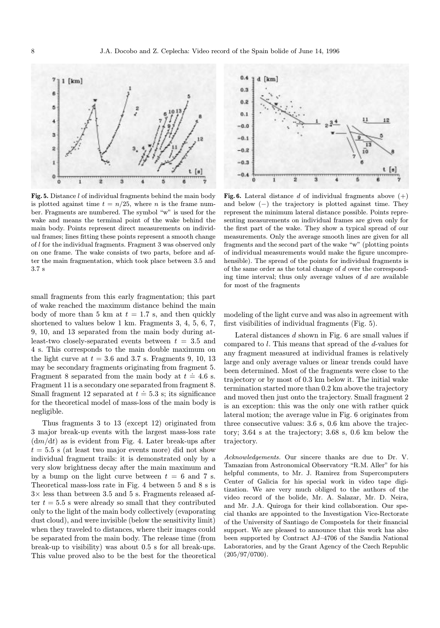

Fig. 5. Distance l of individual fragments behind the main body is plotted against time  $t = n/25$ , where *n* is the frame number. Fragments are numbered. The symbol "w" is used for the wake and means the terminal point of the wake behind the main body. Points represent direct measurements on individual frames; lines fitting these points represent a smooth change of l for the individual fragments. Fragment 3 was observed only on one frame. The wake consists of two parts, before and after the main fragmentation, which took place between 3.5 and 3.7 s

small fragments from this early fragmentation; this part of wake reached the maximum distance behind the main body of more than 5 km at  $t = 1.7$  s, and then quickly shortened to values below 1 km. Fragments 3, 4, 5, 6, 7, 9, 10, and 13 separated from the main body during atleast-two closely-separated events between  $t = 3.5$  and 4 s. This corresponds to the main double maximum on the light curve at  $t = 3.6$  and 3.7 s. Fragments 9, 10, 13 may be secondary fragments originating from fragment 5. Fragment 8 separated from the main body at  $t = 4.6$  s. Fragment 11 is a secondary one separated from fragment 8. Fragment 11 is a secondary one separated non-nagment of Small fragment 12 separated at  $t = 5.3$  s; its significance for the theoretical model of mass-loss of the main body is negligible.

Thus fragments 3 to 13 (except 12) originated from 3 major break-up events with the largest mass-loss rate  $dm/dt$ ) as is evident from Fig. 4. Later break-ups after  $t = 5.5$  s (at least two major events more) did not show individual fragment trails: it is demonstrated only by a very slow brightness decay after the main maximum and by a bump on the light curve between  $t = 6$  and 7 s. Theoretical mass-loss rate in Fig. 4 between 5 and 8 s is  $3\times$  less than between 3.5 and 5 s. Fragments released after  $t = 5.5$  s were already so small that they contributed only to the light of the main body collectively (evaporating dust cloud), and were invisible (below the sensitivity limit) when they traveled to distances, where their images could be separated from the main body. The release time (from break-up to visibility) was about 0.5 s for all break-ups. This value proved also to be the best for the theoretical



Fig. 6. Lateral distance d of individual fragments above  $(+)$ and below (−) the trajectory is plotted against time. They represent the minimum lateral distance possible. Points representing measurements on individual frames are given only for the first part of the wake. They show a typical spread of our measurements. Only the average smooth lines are given for all fragments and the second part of the wake "w" (plotting points of individual measurements would make the figure uncomprehensible). The spread of the points for individual fragments is of the same order as the total change of  $d$  over the corresponding time interval; thus only average values of  $d$  are available for most of the fragments

modeling of the light curve and was also in agreement with first visibilities of individual fragments (Fig. 5).

Lateral distances  $d$  shown in Fig.  $6$  are small values if compared to l. This means that spread of the d-values for any fragment measured at individual frames is relatively large and only average values or linear trends could have been determined. Most of the fragments were close to the trajectory or by most of 0.3 km below it. The initial wake termination started more than 0.2 km above the trajectory and moved then just onto the trajectory. Small fragment 2 is an exception: this was the only one with rather quick lateral motion; the average value in Fig. 6 originates from three consecutive values: 3.6 s, 0.6 km above the trajectory; 3.64 s at the trajectory; 3.68 s, 0.6 km below the trajectory.

Acknowledgements. Our sincere thanks are due to Dr. V. Tamazian from Astronomical Observatory "R.M. Aller" for his helpful comments, to Mr. J. Ramirez from Supercomputers Center of Galicia for his special work in video tape digitization. We are very much obliged to the authors of the video record of the bolide, Mr. A. Salazar, Mr. D. Neira, and Mr. J.A. Quiroga for their kind collaboration. Our special thanks are appointed to the Investigation Vice-Rectorate of the University of Santiago de Compostela for their financial support. We are pleased to announce that this work has also been supported by Contract AJ–4706 of the Sandia National Laboratories, and by the Grant Agency of the Czech Republic (205/97/0700).